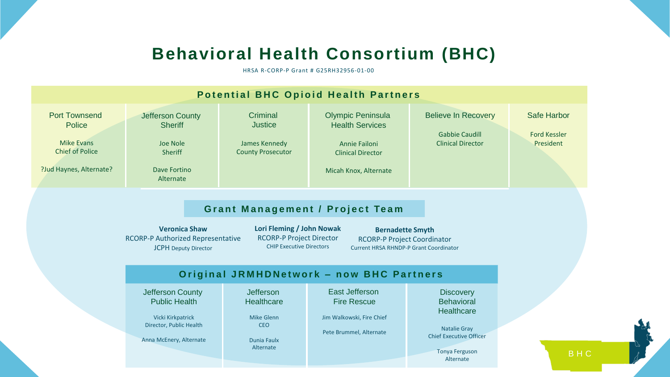## **Behavioral Health Consortium (BHC)**

HRSA R-CORP-P Grant # G25RH32956-01-00